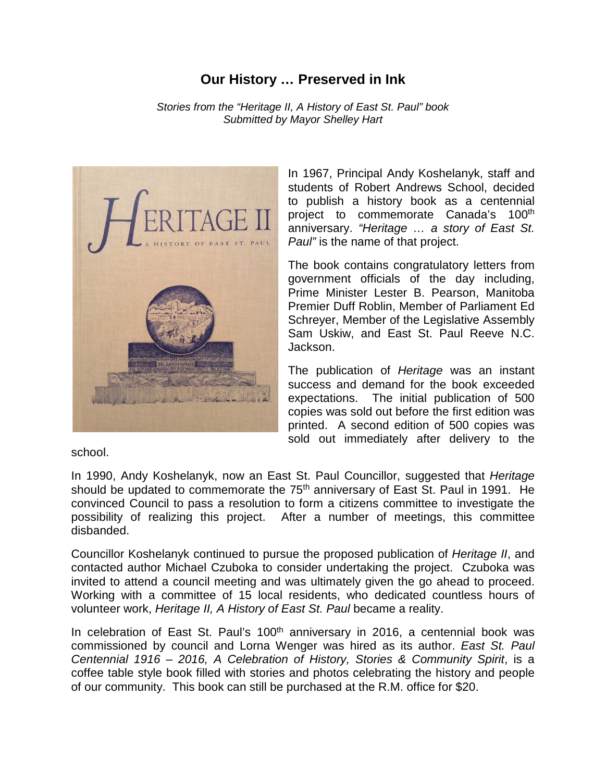## **Our History … Preserved in Ink**

*Stories from the "Heritage II, A History of East St. Paul" book Submitted by Mayor Shelley Hart*



In 1967, Principal Andy Koshelanyk, staff and students of Robert Andrews School, decided to publish a history book as a centennial project to commemorate Canada's 100<sup>th</sup> anniversary. *"Heritage … a story of East St. Paul"* is the name of that project.

The book contains congratulatory letters from government officials of the day including, Prime Minister Lester B. Pearson, Manitoba Premier Duff Roblin, Member of Parliament Ed Schreyer, Member of the Legislative Assembly Sam Uskiw, and East St. Paul Reeve N.C. Jackson.

The publication of *Heritage* was an instant success and demand for the book exceeded expectations. The initial publication of 500 copies was sold out before the first edition was printed. A second edition of 500 copies was sold out immediately after delivery to the

school.

In 1990, Andy Koshelanyk, now an East St. Paul Councillor, suggested that *Heritage* should be updated to commemorate the 75<sup>th</sup> anniversary of East St. Paul in 1991. He convinced Council to pass a resolution to form a citizens committee to investigate the possibility of realizing this project. After a number of meetings, this committee disbanded.

Councillor Koshelanyk continued to pursue the proposed publication of *Heritage II*, and contacted author Michael Czuboka to consider undertaking the project. Czuboka was invited to attend a council meeting and was ultimately given the go ahead to proceed. Working with a committee of 15 local residents, who dedicated countless hours of volunteer work, *Heritage II, A History of East St. Paul* became a reality.

In celebration of East St. Paul's  $100<sup>th</sup>$  anniversary in 2016, a centennial book was commissioned by council and Lorna Wenger was hired as its author. *East St. Paul Centennial 1916 – 2016, A Celebration of History, Stories & Community Spirit*, is a coffee table style book filled with stories and photos celebrating the history and people of our community. This book can still be purchased at the R.M. office for \$20.